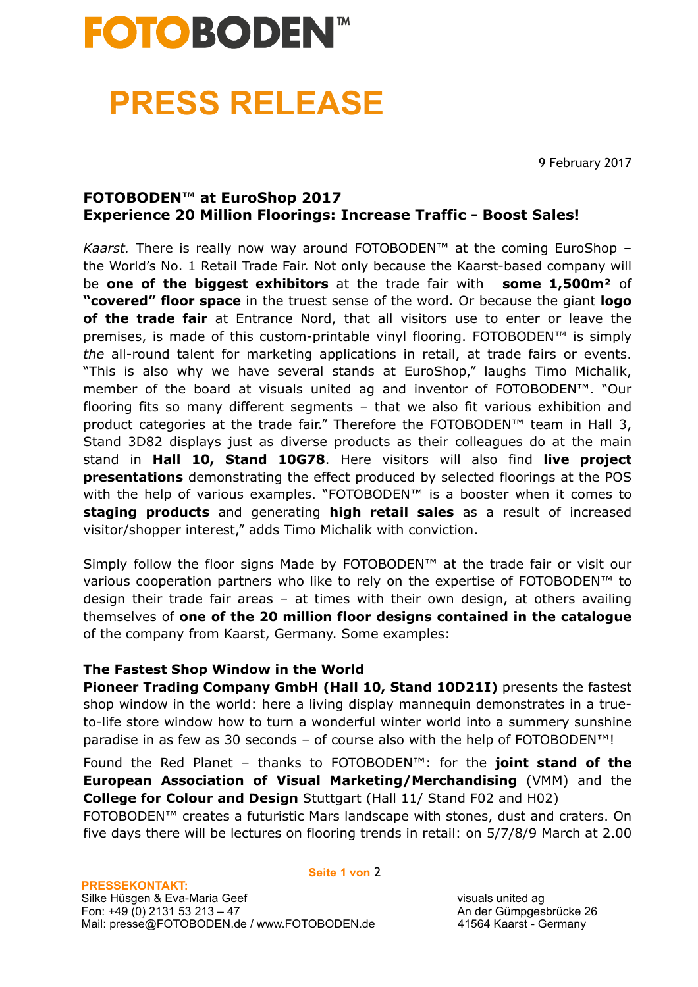# **FOTOBODEN<sup>®</sup>**

### **PRESS RELEASE**

9 February 2017

### **FOTOBODEN™ at EuroShop 2017 Experience 20 Million Floorings: Increase Traffic - Boost Sales!**

*Kaarst.* There is really now way around FOTOBODEN™ at the coming EuroShop – the World's No. 1 Retail Trade Fair. Not only because the Kaarst-based company will be **one of the biggest exhibitors** at the trade fair with **some 1,500m²** of **"covered" floor space** in the truest sense of the word. Or because the giant **logo of the trade fair** at Entrance Nord, that all visitors use to enter or leave the premises, is made of this custom-printable vinyl flooring. FOTOBODEN<sup>™</sup> is simply *the* all-round talent for marketing applications in retail, at trade fairs or events. "This is also why we have several stands at EuroShop," laughs Timo Michalik, member of the board at visuals united ag and inventor of FOTOBODEN™. "Our flooring fits so many different segments – that we also fit various exhibition and product categories at the trade fair." Therefore the FOTOBODEN<sup>™</sup> team in Hall 3, Stand 3D82 displays just as diverse products as their colleagues do at the main stand in **Hall 10, Stand 10G78**. Here visitors will also find **live project presentations** demonstrating the effect produced by selected floorings at the POS with the help of various examples. "FOTOBODEN™ is a booster when it comes to **staging products** and generating **high retail sales** as a result of increased visitor/shopper interest," adds Timo Michalik with conviction.

Simply follow the floor signs Made by FOTOBODEN™ at the trade fair or visit our various cooperation partners who like to rely on the expertise of FOTOBODEN™ to design their trade fair areas – at times with their own design, at others availing themselves of **one of the 20 million floor designs contained in the catalogue**  of the company from Kaarst, Germany. Some examples:

#### **The Fastest Shop Window in the World**

**Pioneer Trading Company GmbH (Hall 10, Stand 10D21I)** presents the fastest shop window in the world: here a living display mannequin demonstrates in a trueto-life store window how to turn a wonderful winter world into a summery sunshine paradise in as few as 30 seconds – of course also with the help of FOTOBODEN™!

Found the Red Planet – thanks to FOTOBODEN™: for the **joint stand of the European Association of Visual Marketing/Merchandising** (VMM) and the **College for Colour and Design** Stuttgart (Hall 11/ Stand F02 and H02)

FOTOBODEN™ creates a futuristic Mars landscape with stones, dust and craters. On five days there will be lectures on flooring trends in retail: on 5/7/8/9 March at 2.00

**Seite 1 von** 2